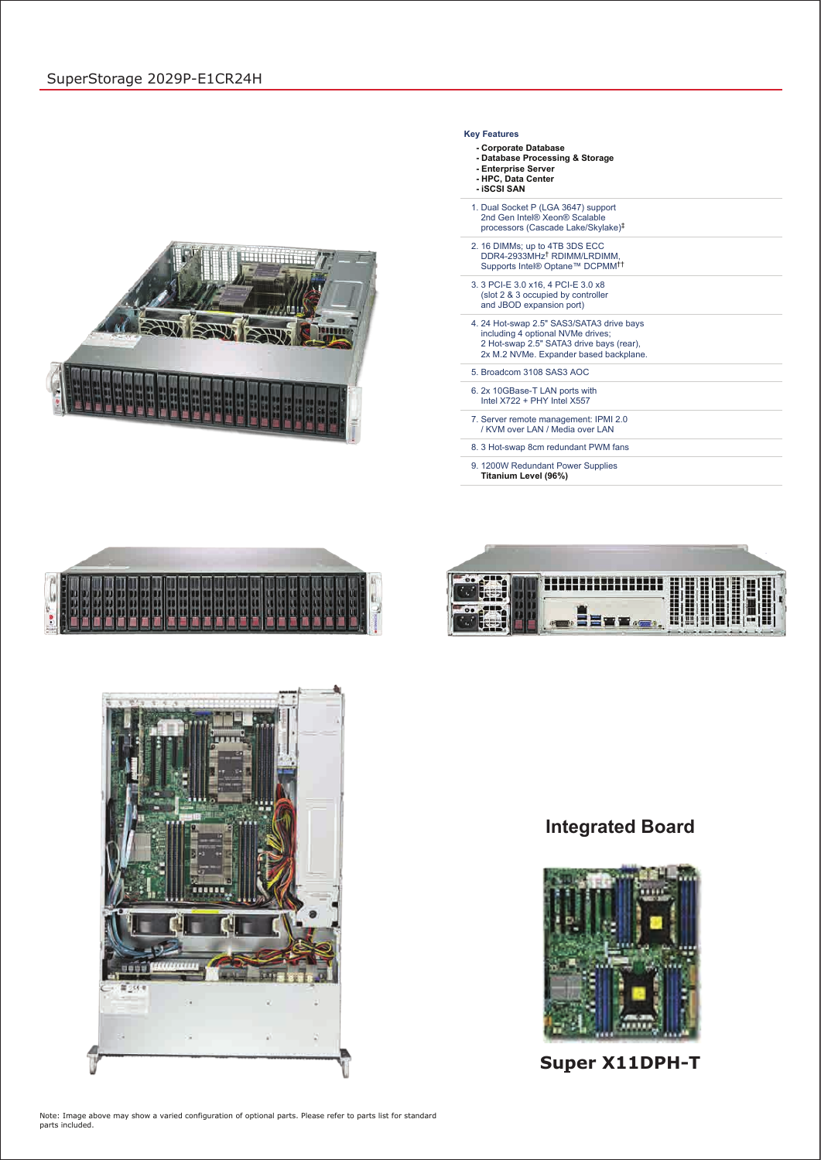# **Integrated Board**



**Super X11DPH-T**

Note: Image above may show a varied configuration of optional parts. Please refer to parts list for standard parts included.

#### **Key Features**

- **Corporate Database**
- **Database Processing & Storage**
- **Enterprise Server - HPC, Data Center**
- **iSCSI SAN**
- 1. Dual Socket P (LGA 3647) support 2nd Gen Intel® Xeon® Scalable processors (Cascade Lake/Skylake) ‡
- 2. 16 DIMMs; up to 4TB 3DS ECC DDR4-2933MHz<sup>†</sup> RDIMM/LRDIMM, Supports Intel® Optane™ DCPMM ††
- 3. 3 PCI-E 3.0 x16, 4 PCI-E 3.0 x8 (slot 2 & 3 occupied by controller and JBOD expansion port)
- 4. 24 Hot-swap 2.5" SAS3/SATA3 drive bays including 4 optional NVMe drives; 2 Hot-swap 2.5" SATA3 drive bays (rear), 2x M.2 NVMe. Expander based backplane.
- 5. Broadcom 3108 SAS3 AOC
- 6. 2x 10GBase-T LAN ports with Intel X722 + PHY Intel X557
- 7. Server remote management: IPMI 2.0 / KVM over LAN / Media over LAN
- 8. 3 Hot-swap 8cm redundant PWM fans
- 9. 1200W Redundant Power Supplies **Titanium Level (96%)**







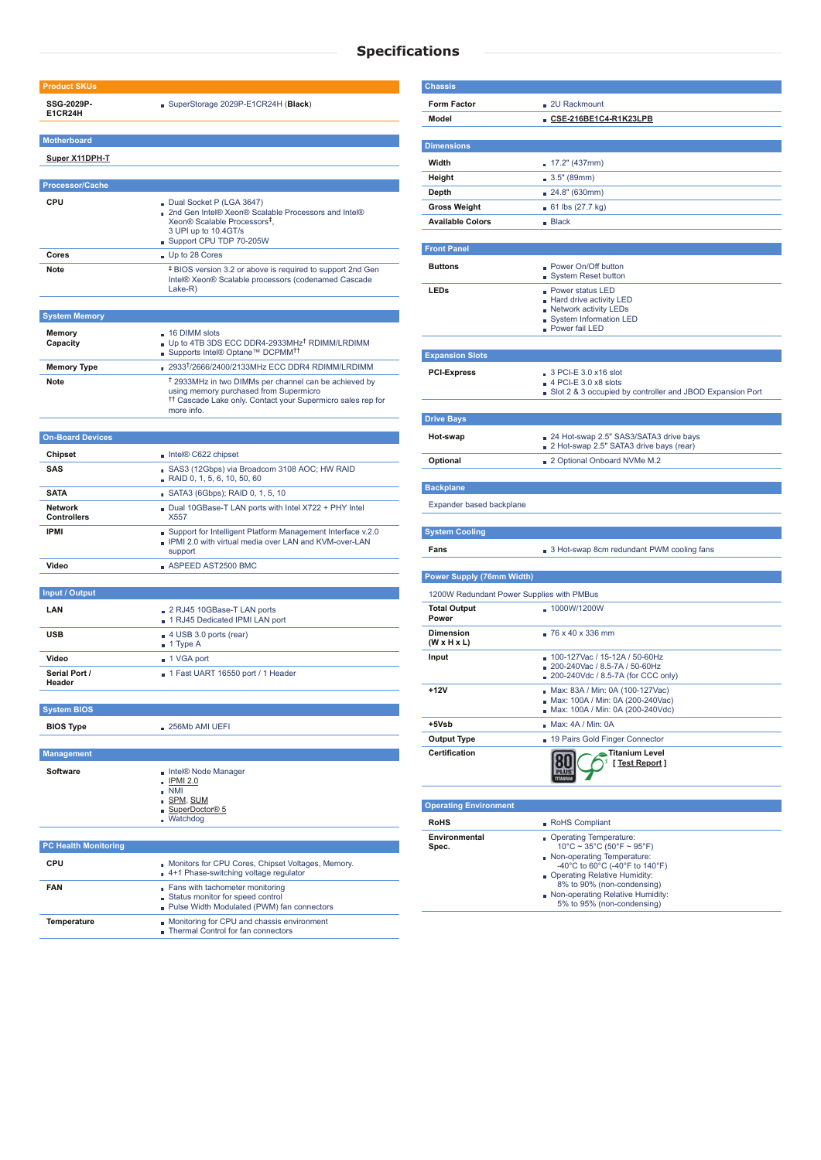## **Specifications**

| <b>Product SKUs</b><br><b>SSG-2029P-</b><br>E1CR24H | SuperStorage 2029P-E1CR24H (Black)                                                                                                                                                                 |
|-----------------------------------------------------|----------------------------------------------------------------------------------------------------------------------------------------------------------------------------------------------------|
|                                                     |                                                                                                                                                                                                    |
| <b>Motherboard</b>                                  |                                                                                                                                                                                                    |
| <b>Super X11DPH-T</b>                               |                                                                                                                                                                                                    |
|                                                     |                                                                                                                                                                                                    |
| <b>Processor/Cache</b>                              |                                                                                                                                                                                                    |
| <b>CPU</b>                                          | Dual Socket P (LGA 3647)<br>2nd Gen Intel® Xeon® Scalable Processors and Intel®<br>Xeon® Scalable Processors <sup>‡</sup> ,<br>3 UPI up to 10.4GT/s<br>Support CPU TDP 70-205W                     |
| <b>Cores</b>                                        | Up to 28 Cores                                                                                                                                                                                     |
| <b>Note</b>                                         | <sup>‡</sup> BIOS version 3.2 or above is required to support 2nd Gen<br>Intel® Xeon® Scalable processors (codenamed Cascade<br>Lake-R)                                                            |
|                                                     |                                                                                                                                                                                                    |
| <b>System Memory</b>                                |                                                                                                                                                                                                    |
| Memory<br>Capacity                                  | $\blacksquare$ 16 DIMM slots<br>Up to 4TB 3DS ECC DDR4-2933MHz <sup>t</sup> RDIMM/LRDIMM<br>■ Supports Intel® Optane™ DCPMM <sup>††</sup>                                                          |
| <b>Memory Type</b>                                  | 2933 <sup>†</sup> /2666/2400/2133MHz ECC DDR4 RDIMM/LRDIMM                                                                                                                                         |
| <b>Note</b>                                         | <sup>†</sup> 2933MHz in two DIMMs per channel can be achieved by<br>using memory purchased from Supermicro<br><sup>11</sup> Cascade Lake only. Contact your Supermicro sales rep for<br>more info. |
|                                                     |                                                                                                                                                                                                    |
| <b>On-Board Devices</b>                             |                                                                                                                                                                                                    |
| <b>Chipset</b>                                      | Intel® C622 chipset                                                                                                                                                                                |
| <b>SAS</b>                                          | SAS3 (12Gbps) via Broadcom 3108 AOC; HW RAID<br>RAID 0, 1, 5, 6, 10, 50, 60                                                                                                                        |
| <b>SATA</b>                                         | SATA3 (6Gbps); RAID 0, 1, 5, 10                                                                                                                                                                    |
| <b>Network</b><br><b>Controllers</b>                | Dual 10GBase-T LAN ports with Intel X722 + PHY Intel<br>X557                                                                                                                                       |
| <b>IPMI</b>                                         | Support for Intelligent Platform Management Interface v.2.0<br><b>IPMI 2.0 with virtual media over LAN and KVM-over-LAN</b><br>support                                                             |
| Video                                               | $\blacksquare$ ASPEED AST2500 BMC                                                                                                                                                                  |
|                                                     |                                                                                                                                                                                                    |
| <b>Input / Output</b>                               |                                                                                                                                                                                                    |
| LAN                                                 | 2 RJ45 10GBase-T LAN ports<br>1 RJ45 Dedicated IPMI LAN port                                                                                                                                       |
| <b>USB</b>                                          | $\blacksquare$ 4 USB 3.0 ports (rear)<br>$\blacksquare$ 1 Type A                                                                                                                                   |
| Video                                               | ■ 1 VGA port                                                                                                                                                                                       |
| Serial Port /<br>Header                             | 1 Fast UART 16550 port / 1 Header                                                                                                                                                                  |
| <b>System BIOS</b>                                  |                                                                                                                                                                                                    |
| <b>BIOS Type</b>                                    | $\blacksquare$ 256Mb AMI UEFI                                                                                                                                                                      |
|                                                     |                                                                                                                                                                                                    |
| <b>Management</b>                                   |                                                                                                                                                                                                    |
| <b>Software</b>                                     | Intel® Node Manager<br>$\blacksquare$ IPMI 2.0<br>$\blacksquare$ NMI<br><u>. SPM, SUM</u><br>SuperDoctor® 5<br><b>Watchdog</b>                                                                     |
|                                                     |                                                                                                                                                                                                    |
| <b>PC Health Monitoring</b>                         |                                                                                                                                                                                                    |
| <b>CPU</b>                                          | Monitors for CPU Cores, Chipset Voltages, Memory.                                                                                                                                                  |

|                    | $\blacksquare$ 4+1 Phase-switching voltage regulator                                                                |
|--------------------|---------------------------------------------------------------------------------------------------------------------|
| <b>FAN</b>         | Fans with tachometer monitoring<br>Status monitor for speed control<br>■ Pulse Width Modulated (PWM) fan connectors |
| <b>Temperature</b> | Monitoring for CPU and chassis environment<br>Thermal Control for fan connectors                                    |

| <b>Chassis</b>                                                   |                                                                                                                                 |  |  |  |
|------------------------------------------------------------------|---------------------------------------------------------------------------------------------------------------------------------|--|--|--|
| <b>Form Factor</b>                                               | . 2U Rackmount                                                                                                                  |  |  |  |
| <b>Model</b>                                                     | CSE-216BE1C4-R1K23LPB                                                                                                           |  |  |  |
| <b>Dimensions</b>                                                |                                                                                                                                 |  |  |  |
| Width                                                            | ■ 17.2" (437mm)                                                                                                                 |  |  |  |
| Height                                                           | 3.5" (89mm)                                                                                                                     |  |  |  |
| <b>Depth</b>                                                     | 24.8" (630mm)                                                                                                                   |  |  |  |
| <b>Gross Weight</b>                                              | 61 lbs (27.7 kg)                                                                                                                |  |  |  |
| <b>Available Colors</b>                                          | $\blacksquare$ Black                                                                                                            |  |  |  |
|                                                                  |                                                                                                                                 |  |  |  |
| <b>Front Panel</b>                                               |                                                                                                                                 |  |  |  |
| <b>Buttons</b>                                                   | <b>Power On/Off button</b><br>System Reset button                                                                               |  |  |  |
| <b>LEDs</b>                                                      | <b>Power status LED</b><br>Hard drive activity LED<br>Network activity LEDs<br>System Information LED<br><b>Power fail I FD</b> |  |  |  |
| <b>Expansion Slots</b>                                           |                                                                                                                                 |  |  |  |
| <b>PCI-Express</b>                                               | 3 PCI-E 3.0 x16 slot                                                                                                            |  |  |  |
|                                                                  | $4$ PCI-E 3.0 x8 slots                                                                                                          |  |  |  |
|                                                                  | Slot 2 & 3 occupied by controller and JBOD Expansion Port                                                                       |  |  |  |
| <b>Drive Bays</b>                                                |                                                                                                                                 |  |  |  |
| Hot-swap                                                         | 24 Hot-swap 2.5" SAS3/SATA3 drive bays                                                                                          |  |  |  |
|                                                                  | 2 Hot-swap 2.5" SATA3 drive bays (rear)                                                                                         |  |  |  |
| Optional                                                         | 2 Optional Onboard NVMe M.2                                                                                                     |  |  |  |
| <b>Backplane</b>                                                 |                                                                                                                                 |  |  |  |
| Expander based backplane                                         |                                                                                                                                 |  |  |  |
|                                                                  |                                                                                                                                 |  |  |  |
| <b>System Cooling</b>                                            |                                                                                                                                 |  |  |  |
| Fans                                                             | 3 Hot-swap 8cm redundant PWM cooling fans                                                                                       |  |  |  |
|                                                                  |                                                                                                                                 |  |  |  |
| <b>Power Supply (76mm Width)</b>                                 |                                                                                                                                 |  |  |  |
| 1200W Redundant Power Supplies with PMBus<br><b>Total Output</b> | $-1000W/1200W$                                                                                                                  |  |  |  |
| <b>Power</b>                                                     |                                                                                                                                 |  |  |  |
| <b>Dimension</b><br>$(W \times H \times L)$                      | $-76 \times 40 \times 336$ mm                                                                                                   |  |  |  |
| Input                                                            | ■ 100-127Vac / 15-12A / 50-60Hz<br>200-240Vac / 8.5-7A / 50-60Hz<br>200-240Vdc / 8.5-7A (for CCC only)                          |  |  |  |
| +12V                                                             | Max: 83A / Min: 0A (100-127Vac)<br>Max: 100A / Min: 0A (200-240Vac)<br>Max: 100A / Min: 0A (200-240Vdc)                         |  |  |  |
| +5Vsb                                                            | Max: 4A/Min: 0A                                                                                                                 |  |  |  |
| <b>Output Type</b>                                               | 19 Pairs Gold Finger Connector                                                                                                  |  |  |  |
| <b>Certification</b>                                             | <b>Titanium Level</b><br>[Test Report]                                                                                          |  |  |  |
| <b>Operating Environment</b>                                     |                                                                                                                                 |  |  |  |
| <b>RoHS</b>                                                      | RoHS Compliant                                                                                                                  |  |  |  |
| <b>Environmental</b><br>Spec.                                    | Operating Temperature:<br>$10^{\circ}$ C ~ 35°C (50°F ~ 95°F)                                                                   |  |  |  |

 10°C ~ 35°C (50°F ~ 95°F) Non-operating Temperature: -40°C to 60°C (-40°F to 140°F) Operating Relative Humidity: 8% to 90% (non-condensing) Non-operating Relative Humidity: 5% to 95% (non-condensing)